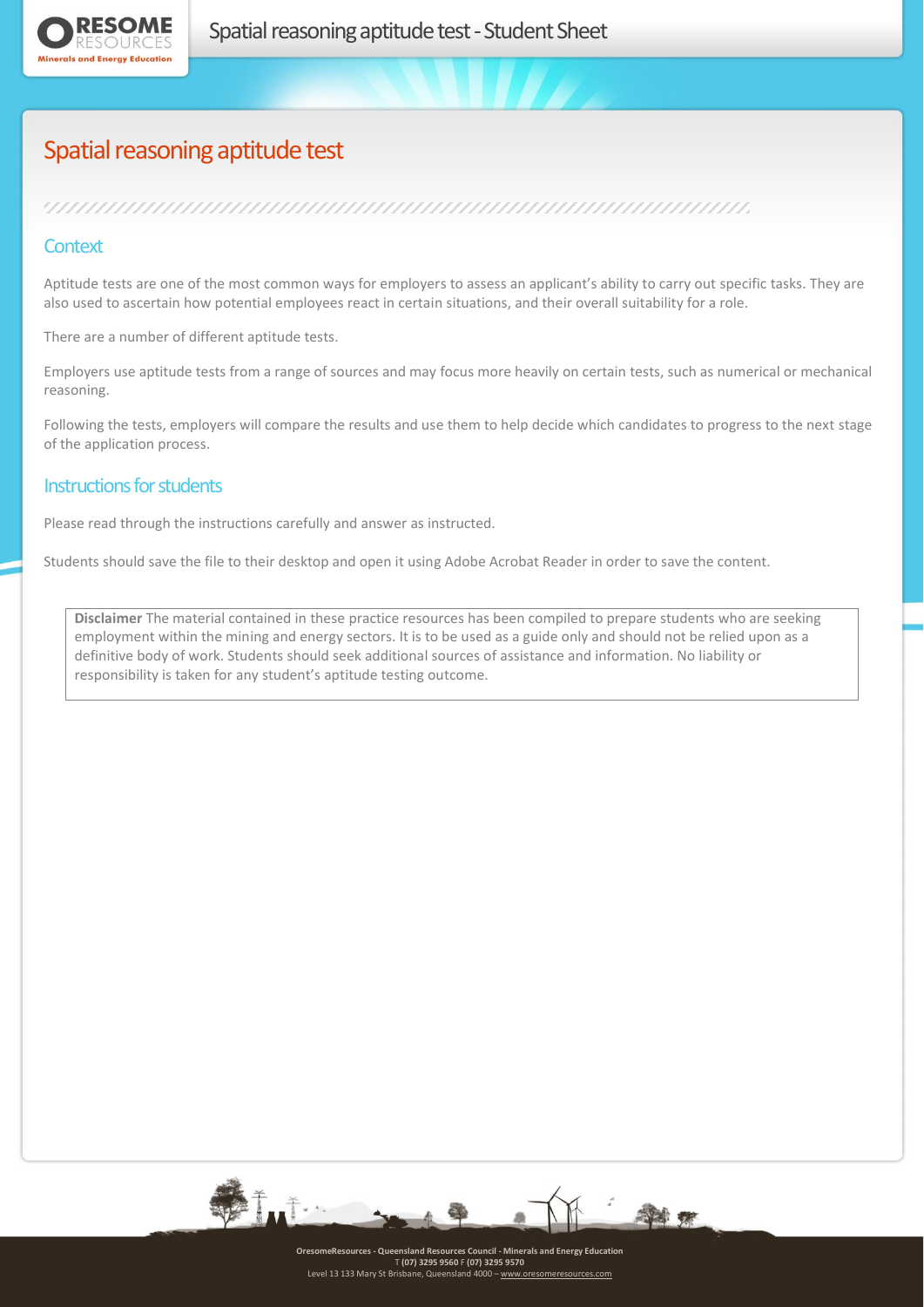

# Spatial reasoning aptitude test

## 

### **Context**

Aptitude tests are one of the most common ways for employers to assess an applicant's ability to carry out specific tasks. They are also used to ascertain how potential employees react in certain situations, and their overall suitability for a role.

There are a number of different aptitude tests.

Employers use aptitude tests from a range of sources and may focus more heavily on certain tests, such as numerical or mechanical reasoning.

Following the tests, employers will compare the results and use them to help decide which candidates to progress to the next stage of the application process.

#### Instructions for students

Please read through the instructions carefully and answer as instructed.

Students should save the file to their desktop and open it using Adobe Acrobat Reader in order to save the content.

**Disclaimer** The material contained in these practice resources has been compiled to prepare students who are seeking employment within the mining and energy sectors. It is to be used as a guide only and should not be relied upon as a definitive body of work. Students should seek additional sources of assistance and information. No liability or responsibility is taken for any student's aptitude testing outcome.

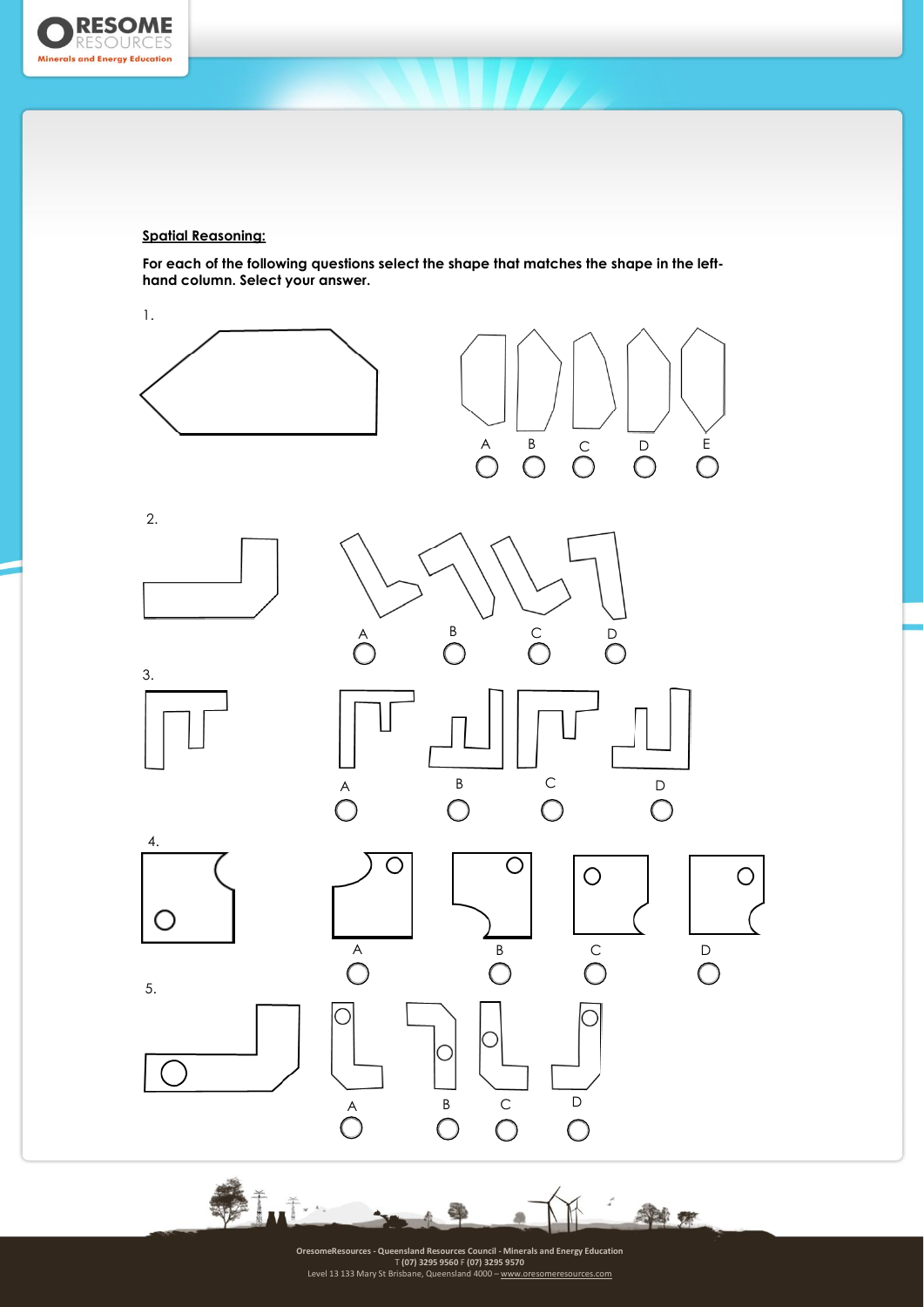

#### **Spatial Reasoning:**

**For each of the following questions select the shape that matches the shape in the lefthand column. Select your answer.**



OresomeResources - Queensland Resources Council - Minerals and Energy Education<br>T (07) 3295 950 F (07) 3295 950 F (07) 3295 950 F<br>Level 13 133 Mary St Brisbane, Queensland 4000 -- <u>[www.oresomeresources.com](http://www.oresomeresources.com/)</u>

Sei er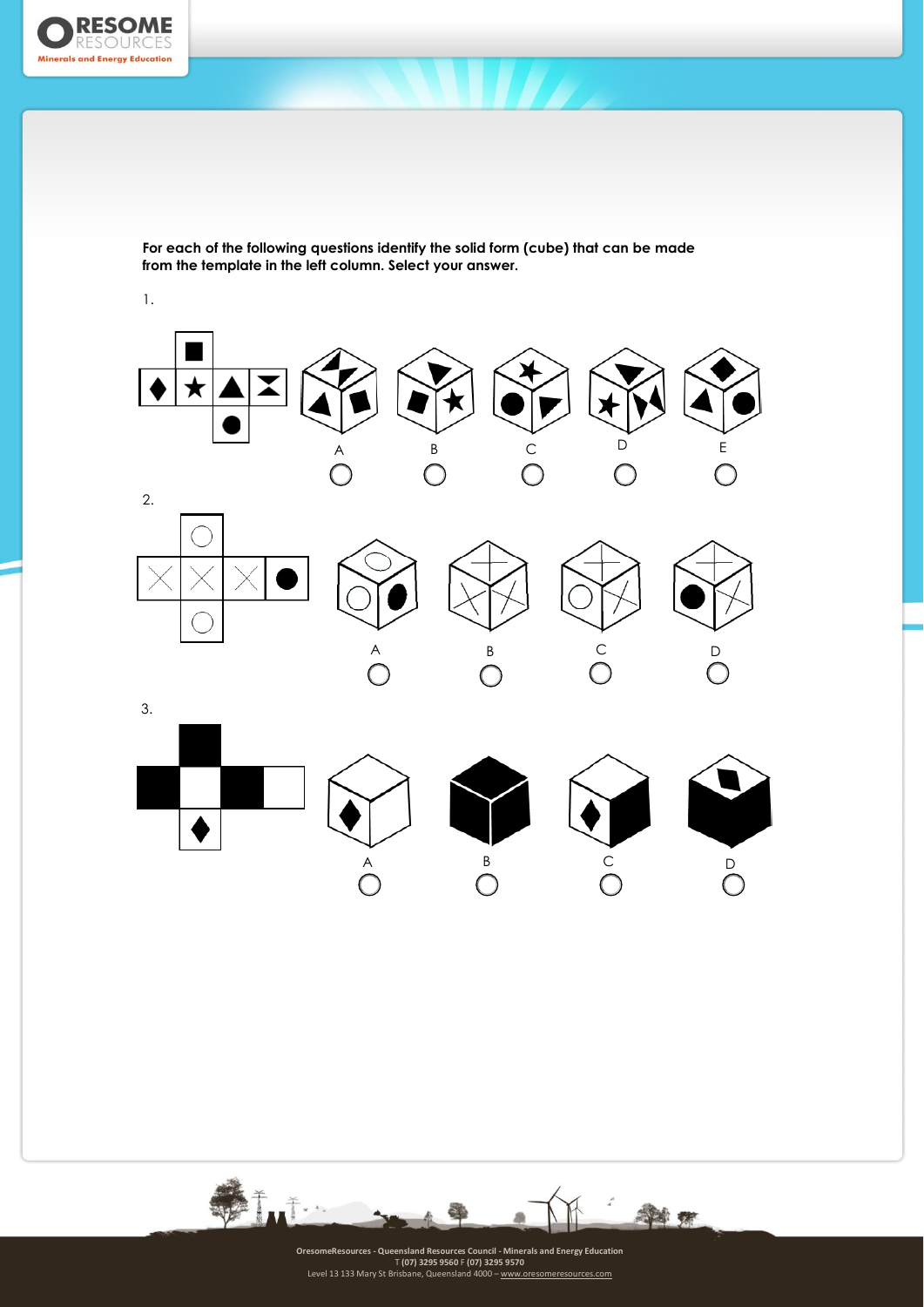

**For each of the following questions identify the solid form (cube) that can be made from the template in the left column. Select your answer.**

1.



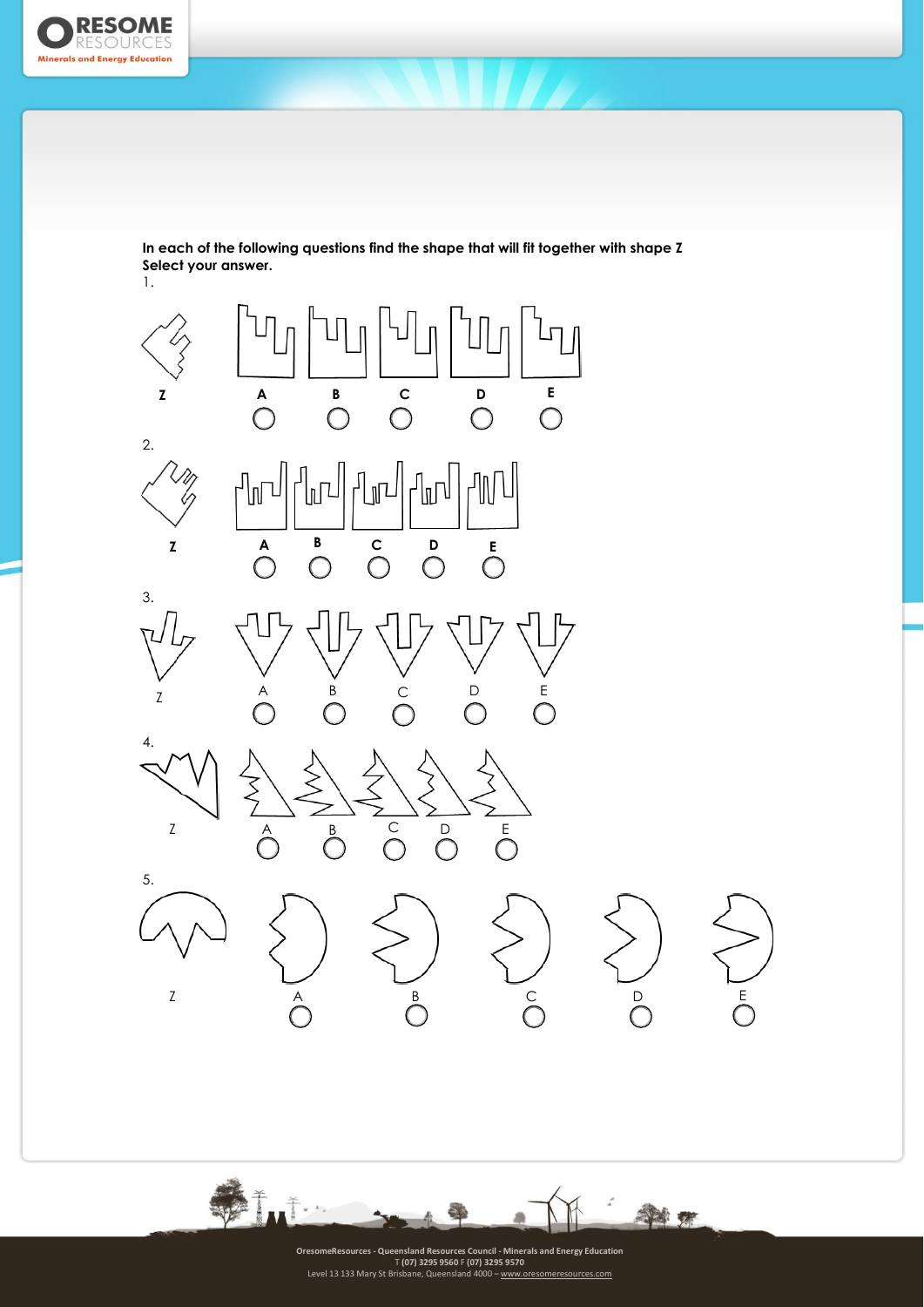

**In each of the following questions find the shape that will fit together with shape Z Select your answer.**



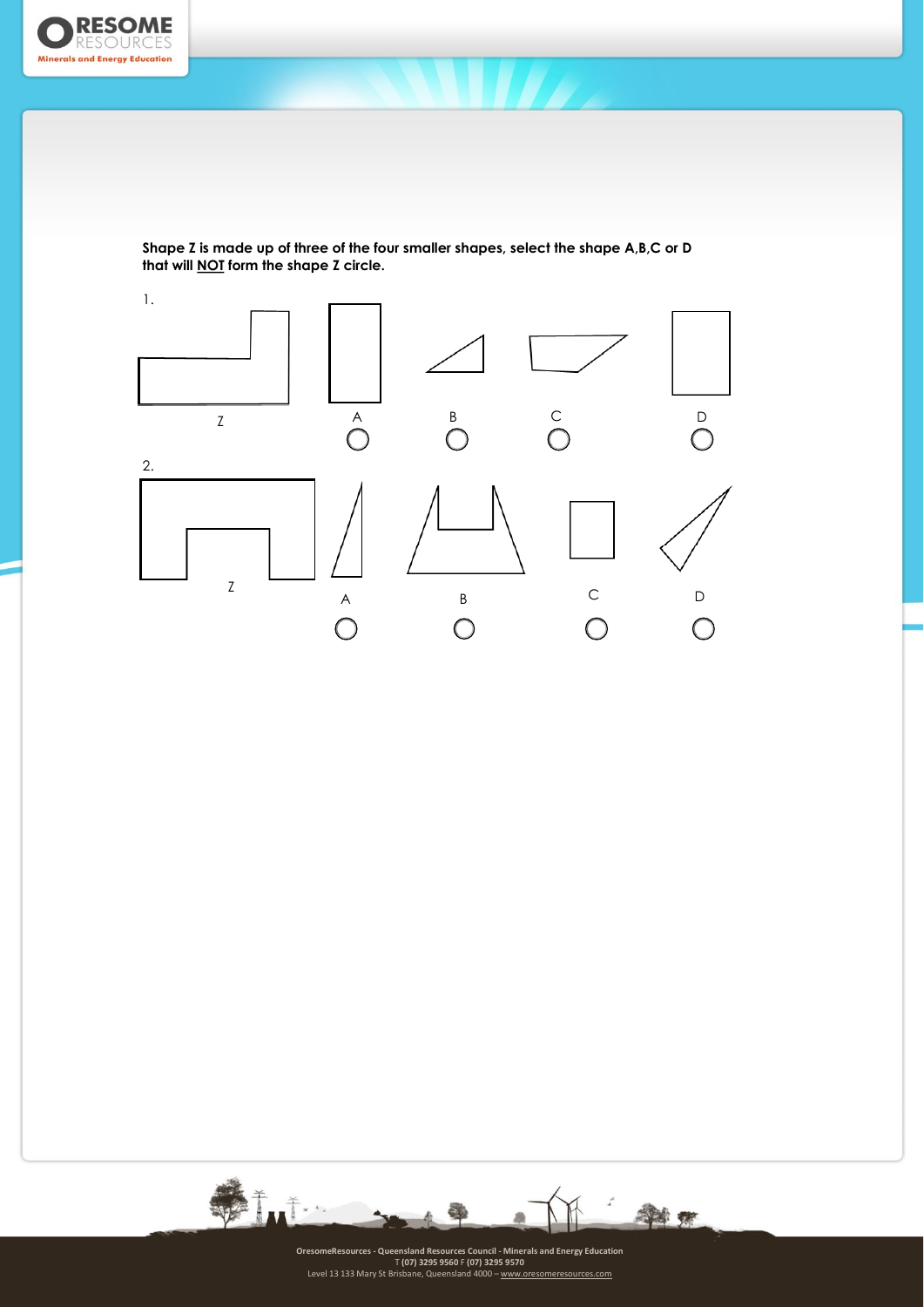

**Shape Z is made up of three of the four smaller shapes, select the shape A,B,C or D that will NOT form the shape Z circle.**



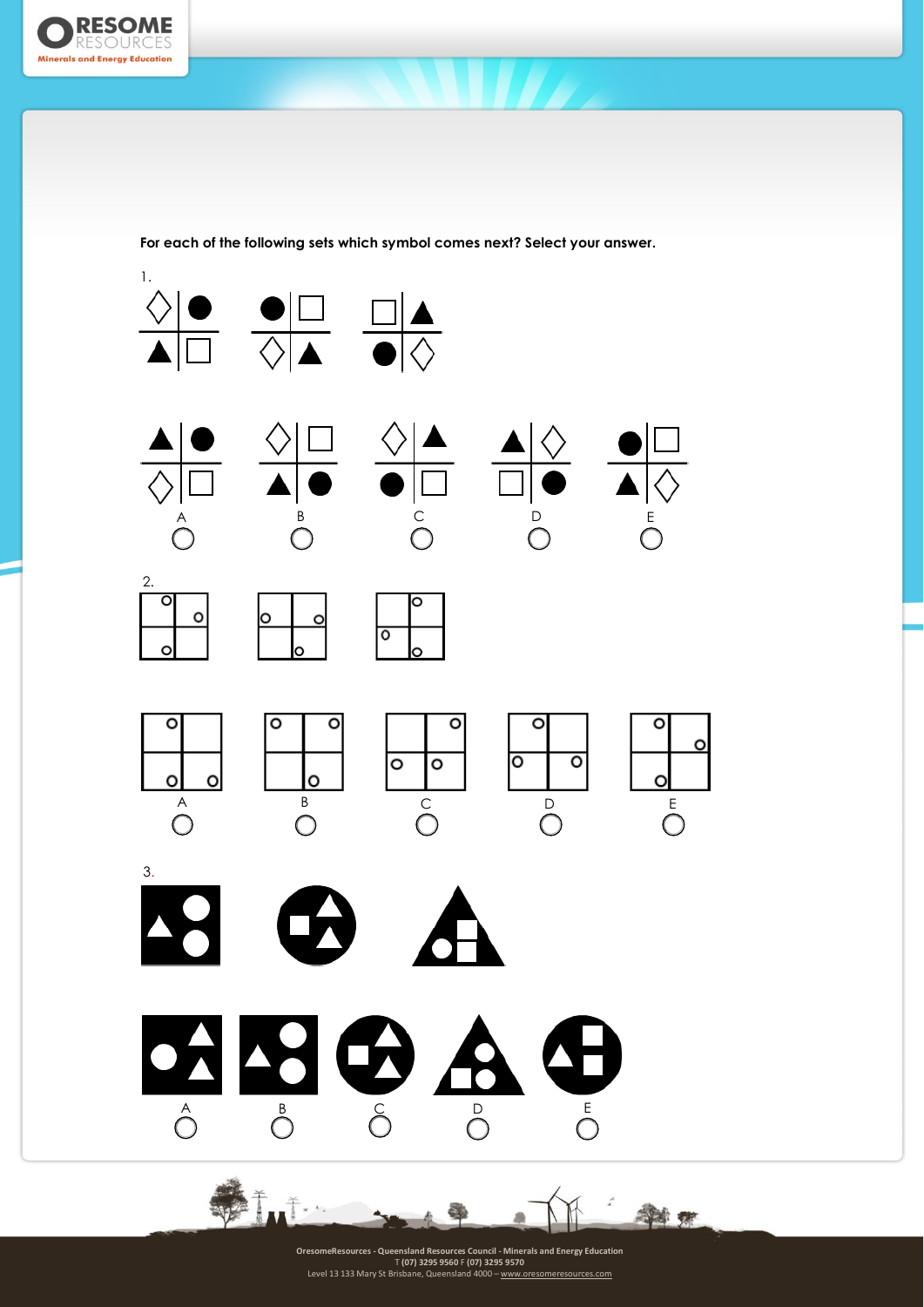

**For each of the following sets which symbol comes next? Select your answer.**



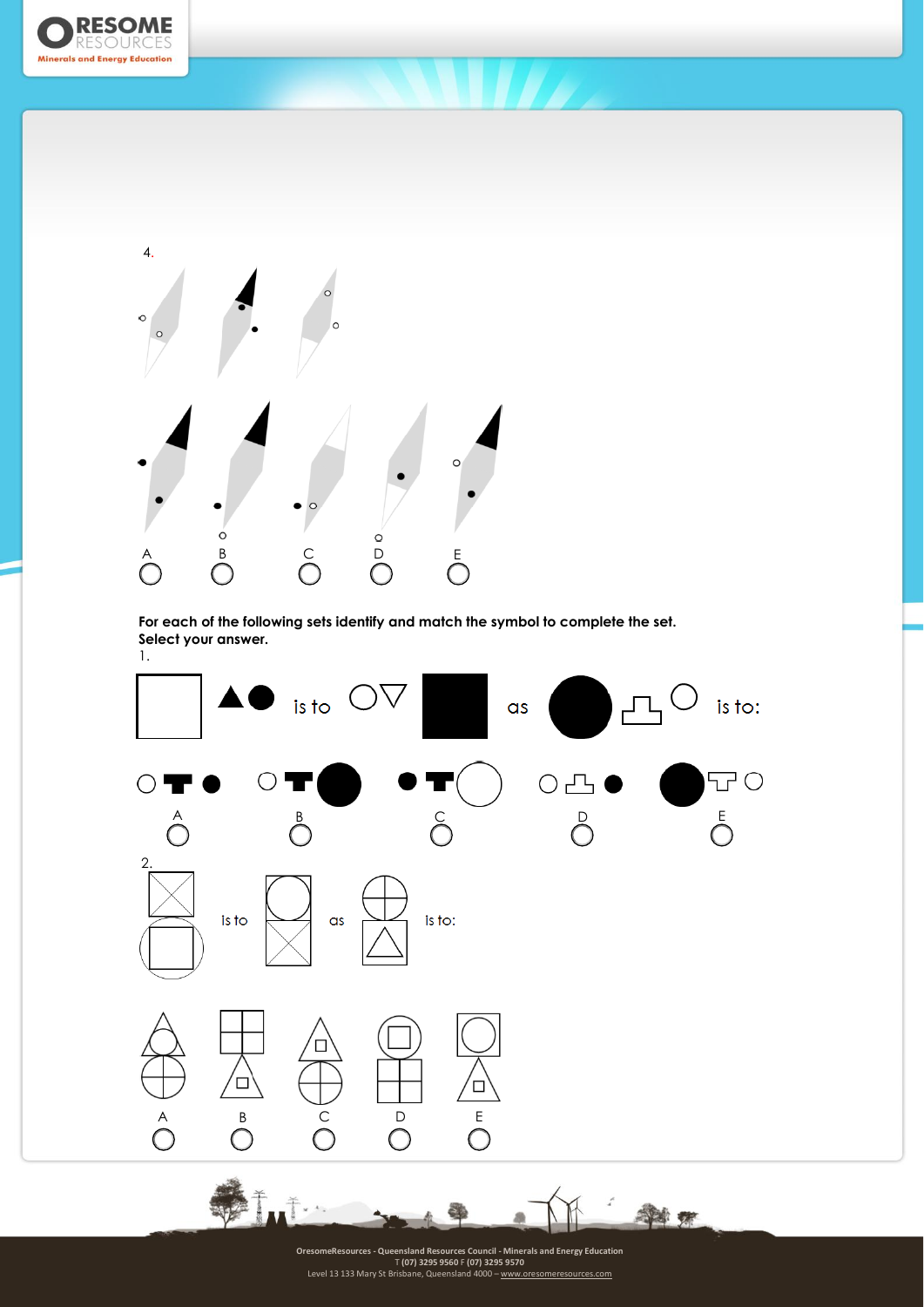



**For each of the following sets identify and match the symbol to complete the set. Select your answer.**



14

OresomeResources - Queensland Resources Council - Minerals and Energy Education<br>T (07) 3295 950 F (07) 3295 950 F (07) 3295 950 F<br>Level 13 133 Mary St Brisbane, Queensland 4000 -- <u>[www.oresomeresources.com](http://www.oresomeresources.com/)</u>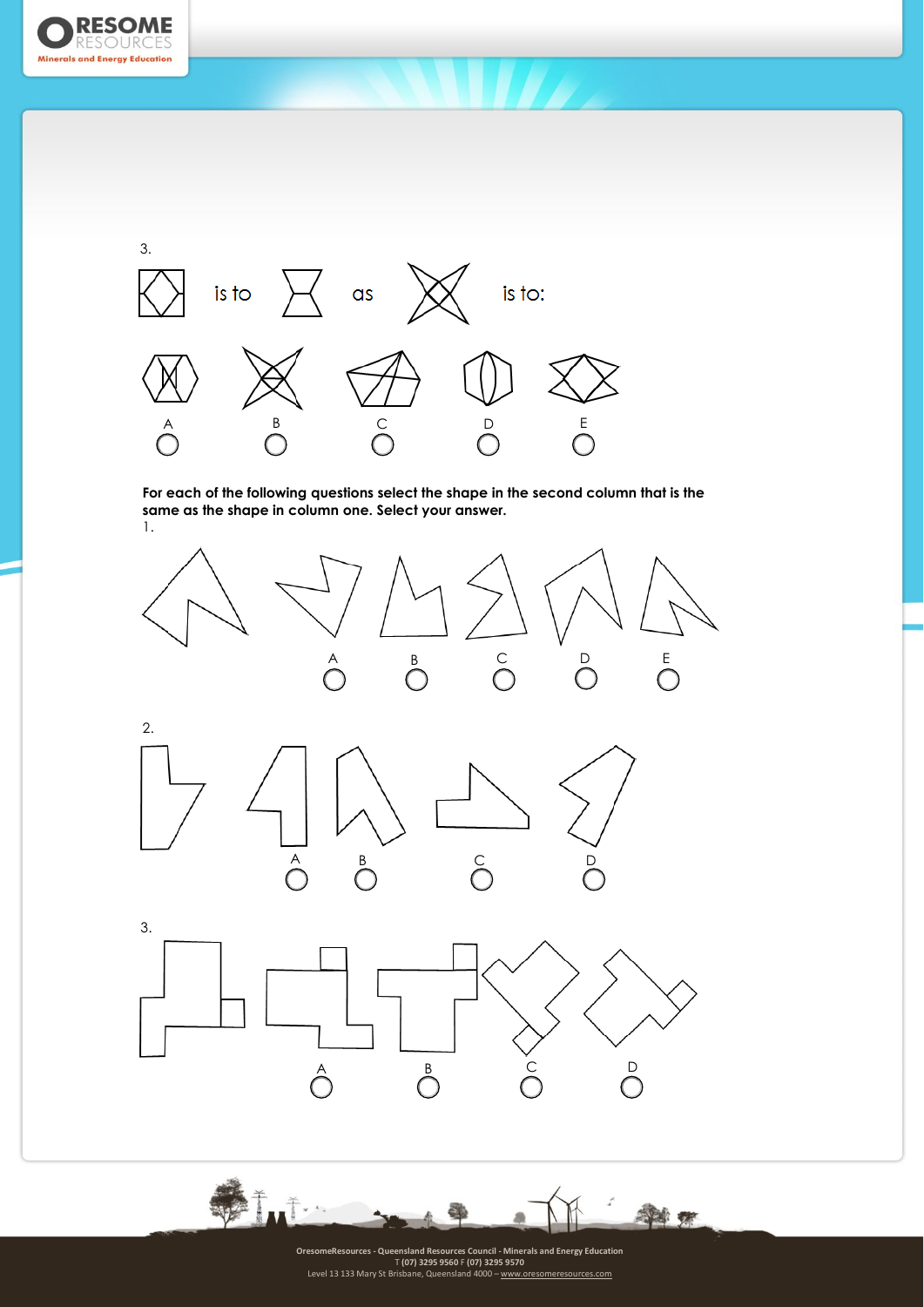



**For each of the following questions select the shape in the second column that is the same as the shape in column one. Select your answer.** 1.



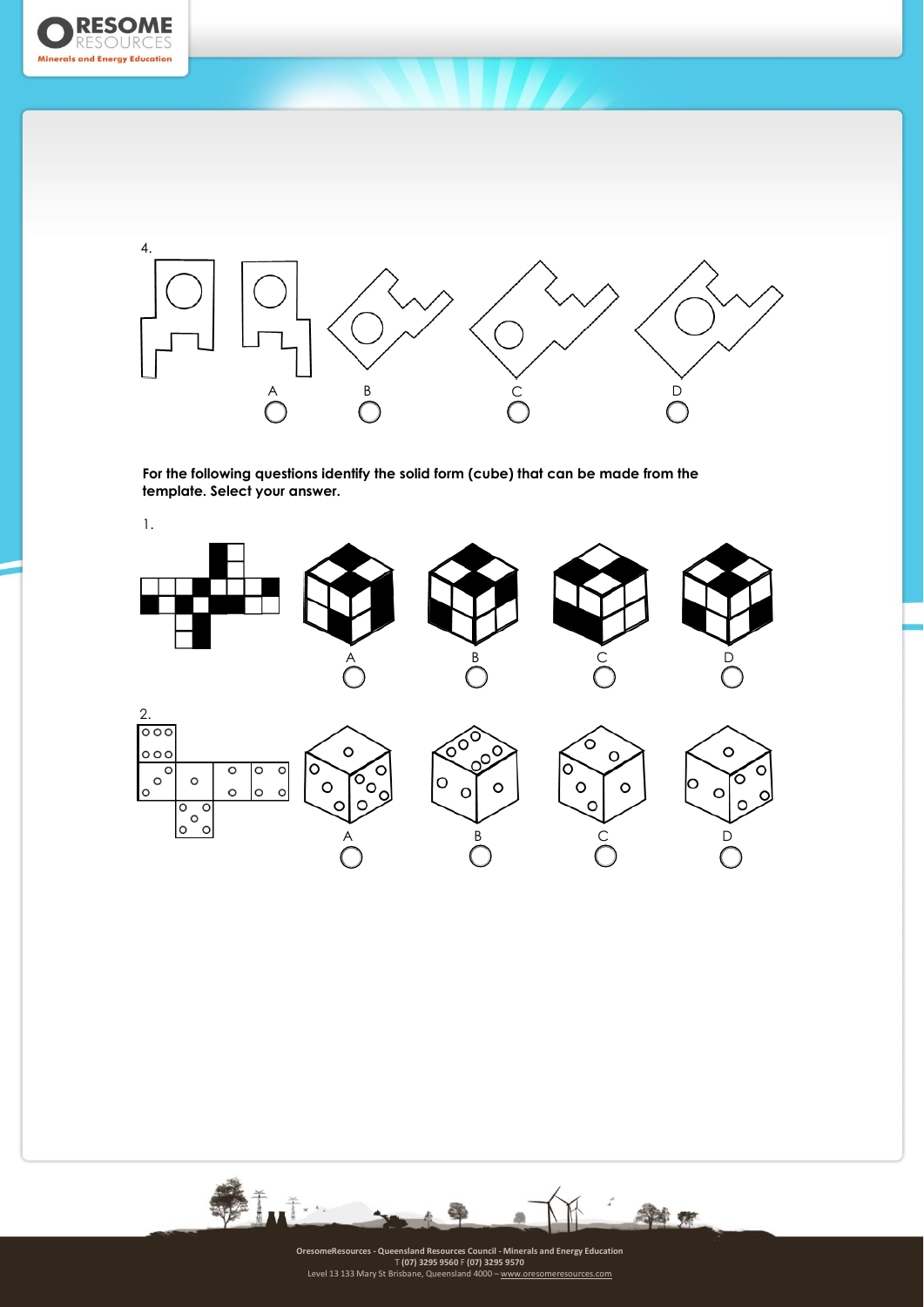



**For the following questions identify the solid form (cube) that can be made from the template. Select your answer.**